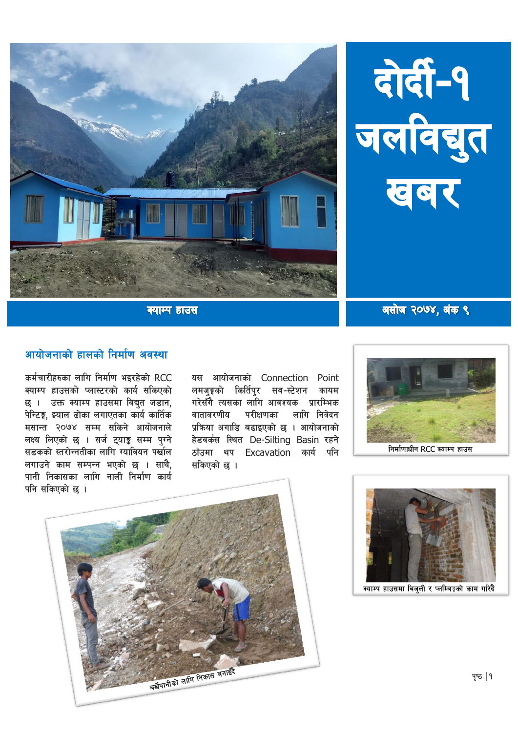



क्याम्प हाउस

## आयोजनाको हालको निर्माण अवस्था

कर्मचारीहरुका लागि निर्माण भइरहेको RCC क्याम्प हाउसको प्लास्टरको कार्य सकिएको छ । उक्त क्याम्प हाउसमा विद्युत जडान, पेन्टिङ्ग, झ्याल ढोका लगाएतका कार्य कार्तिक मसान्त २०७४ सम्म सकिने आयोजनाले लक्ष्य लिएको छ । सर्ज ट्याङ्क सम्म पुग्ने सडकको स्तरोन्नतीका लागि ग्यावियन पर्खाल लगाउने काम सम्पन्न भएको छ । साथै, पानी निकासका लागि नाली निर्माण कार्य पनि सकिएको छ ।

यस आयोजनाको Connection Point लमजङ्गको किर्तिपर सव-स्टेशन कायम गरेसँगै त्यसका लागि आवश्यक प्रारम्भिक वातावरणीय परीक्षणका लागि निवेदन प्रक्रिया अगाडि बढाइएको छ । आयोजनाको हेडवर्कस स्थित De-Silting Basin रहने ठाँउमा थप Excavation कार्य पनि सकिएको छ ।







असोज २०७४, अंक ९